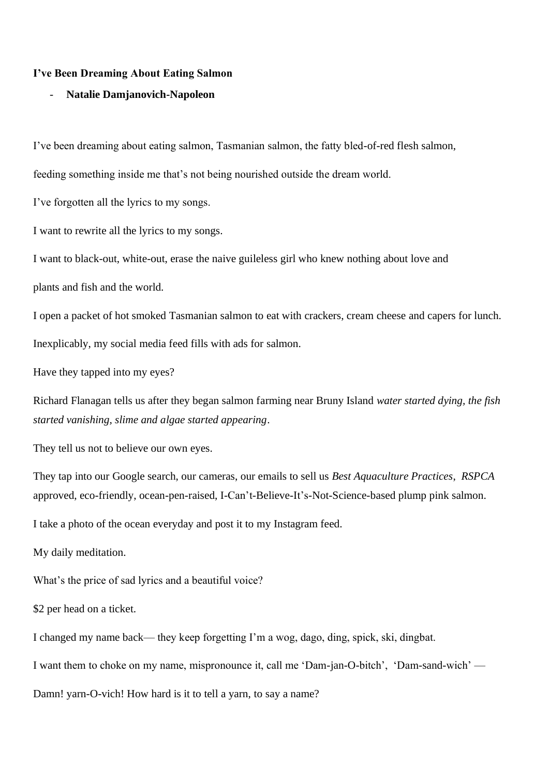## **I've Been Dreaming About Eating Salmon**

## - **Natalie Damjanovich-Napoleon**

I've been dreaming about eating salmon, Tasmanian salmon, the fatty bled-of-red flesh salmon,

feeding something inside me that's not being nourished outside the dream world.

I've forgotten all the lyrics to my songs.

I want to rewrite all the lyrics to my songs.

I want to black-out, white-out, erase the naive guileless girl who knew nothing about love and

plants and fish and the world.

I open a packet of hot smoked Tasmanian salmon to eat with crackers, cream cheese and capers for lunch. Inexplicably, my social media feed fills with ads for salmon.

Have they tapped into my eyes?

Richard Flanagan tells us after they began salmon farming near Bruny Island *water started dying, the fish started vanishing, slime and algae started appearing*.

They tell us not to believe our own eyes.

They tap into our Google search, our cameras, our emails to sell us *Best Aquaculture Practices*, *RSPCA* approved, eco-friendly, ocean-pen-raised, I-Can't-Believe-It's-Not-Science-based plump pink salmon.

I take a photo of the ocean everyday and post it to my Instagram feed.

My daily meditation.

What's the price of sad lyrics and a beautiful voice?

\$2 per head on a ticket.

I changed my name back— they keep forgetting I'm a wog, dago, ding, spick, ski, dingbat.

I want them to choke on my name, mispronounce it, call me 'Dam-jan-O-bitch', 'Dam-sand-wich' —

Damn! varn-O-vich! How hard is it to tell a varn, to say a name?